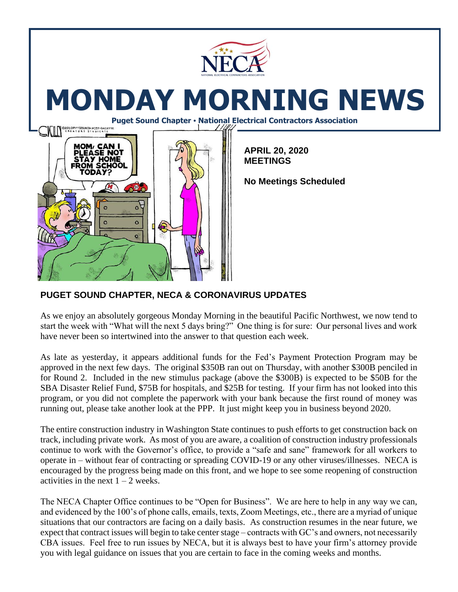

# **MONDAY MORNING NEWS**

**Puget Sound Chapter • National Electrical Contractors Association**



**APRIL 20, 2020 MEETINGS**

**No Meetings Scheduled** 

## **PUGET SOUND CHAPTER, NECA & CORONAVIRUS UPDATES**

As we enjoy an absolutely gorgeous Monday Morning in the beautiful Pacific Northwest, we now tend to start the week with "What will the next 5 days bring?" One thing is for sure: Our personal lives and work have never been so intertwined into the answer to that question each week.

As late as yesterday, it appears additional funds for the Fed's Payment Protection Program may be approved in the next few days. The original \$350B ran out on Thursday, with another \$300B penciled in for Round 2. Included in the new stimulus package (above the \$300B) is expected to be \$50B for the SBA Disaster Relief Fund, \$75B for hospitals, and \$25B for testing. If your firm has not looked into this program, or you did not complete the paperwork with your bank because the first round of money was running out, please take another look at the PPP. It just might keep you in business beyond 2020.

The entire construction industry in Washington State continues to push efforts to get construction back on track, including private work. As most of you are aware, a coalition of construction industry professionals continue to work with the Governor's office, to provide a "safe and sane" framework for all workers to operate in – without fear of contracting or spreading COVID-19 or any other viruses/illnesses. NECA is encouraged by the progress being made on this front, and we hope to see some reopening of construction activities in the next  $1 - 2$  weeks.

The NECA Chapter Office continues to be "Open for Business". We are here to help in any way we can, and evidenced by the 100's of phone calls, emails, texts, Zoom Meetings, etc., there are a myriad of unique situations that our contractors are facing on a daily basis. As construction resumes in the near future, we expect that contract issues will begin to take center stage – contracts with GC's and owners, not necessarily CBA issues. Feel free to run issues by NECA, but it is always best to have your firm's attorney provide you with legal guidance on issues that you are certain to face in the coming weeks and months.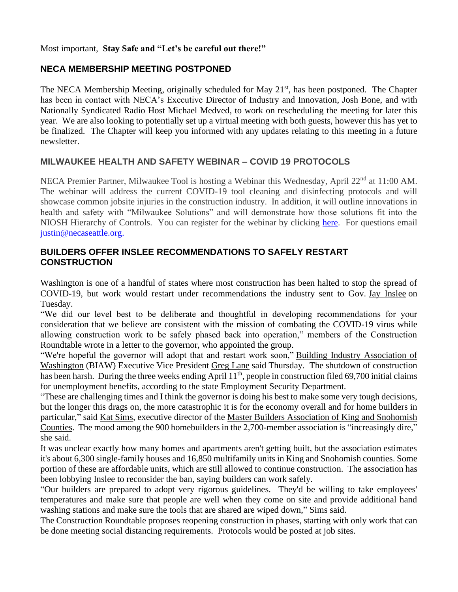#### Most important, **Stay Safe and "Let's be careful out there!"**

#### **NECA MEMBERSHIP MEETING POSTPONED**

The NECA Membership Meeting, originally scheduled for May 21<sup>st</sup>, has been postponed. The Chapter has been in contact with NECA's Executive Director of Industry and Innovation, Josh Bone, and with Nationally Syndicated Radio Host Michael Medved, to work on rescheduling the meeting for later this year. We are also looking to potentially set up a virtual meeting with both guests, however this has yet to be finalized. The Chapter will keep you informed with any updates relating to this meeting in a future newsletter.

### **MILWAUKEE HEALTH AND SAFETY WEBINAR – COVID 19 PROTOCOLS**

NECA Premier Partner, Milwaukee Tool is hosting a Webinar this Wednesday, April 22<sup>nd</sup> at 11:00 AM. The webinar will address the current COVID-19 tool cleaning and disinfecting protocols and will showcase common jobsite injuries in the construction industry. In addition, it will outline innovations in health and safety with "Milwaukee Solutions" and will demonstrate how those solutions fit into the NIOSH Hierarchy of Controls. You can register for the webinar by clicking [here.](https://courses.necanet.org/course/session/details/607) For questions email [justin@necaseattle.org.](mailto:justin@necaseattle.org)

#### **BUILDERS OFFER INSLEE RECOMMENDATIONS TO SAFELY RESTART CONSTRUCTION**

Washington is one of a handful of states where most construction has been halted to stop the spread of COVID-19, but work would restart under recommendations the industry sent to Gov. [Jay Inslee](https://www.bizjournals.com/seattle/search/results?q=Jay%20Inslee) on Tuesday.

"We did our level best to be deliberate and thoughtful in developing recommendations for your consideration that we believe are consistent with the mission of combating the COVID-19 virus while allowing construction work to be safely phased back into operation," members of the Construction Roundtable wrote in a letter to the governor, who appointed the group.

"We're hopeful the governor will adopt that and restart work soon," [Building Industry Association of](https://www.bizjournals.com/profile/company/org_ch_e0ca9ae22ce10f05833cb7040ad5c29f)  [Washington](https://www.bizjournals.com/profile/company/org_ch_e0ca9ae22ce10f05833cb7040ad5c29f) (BIAW) Executive Vice President [Greg Lane](https://www.bizjournals.com/seattle/search/results?q=Greg%20Lane) said Thursday. The shutdown of construction has been harsh. During the three weeks ending April 11<sup>th</sup>, people in construction filed 69,700 initial claims for unemployment benefits, according to the state Employment Security Department.

"These are challenging times and I think the governor is doing his best to make some very tough decisions, but the longer this drags on, the more catastrophic it is for the economy overall and for home builders in particular," said [Kat Sims,](https://www.bizjournals.com/seattle/search/results?q=Kat%20Sims) executive director of the [Master Builders Association of King and Snohomish](https://www.bizjournals.com/profile/company/org_ch_49d21f0c89abf7dae5dc4364872ea6f1)  [Counties.](https://www.bizjournals.com/profile/company/org_ch_49d21f0c89abf7dae5dc4364872ea6f1) The mood among the 900 homebuilders in the 2,700-member association is "increasingly dire," she said.

It was unclear exactly how many homes and apartments aren't getting built, but the association estimates it's about 6,300 single-family houses and 16,850 multifamily units in King and Snohomish counties. Some portion of these are affordable units, which are still allowed to continue construction. The association has been lobbying Inslee to reconsider the ban, saying builders can work safely.

"Our builders are prepared to adopt very rigorous guidelines. They'd be willing to take employees' temperatures and make sure that people are well when they come on site and provide additional hand washing stations and make sure the tools that are shared are wiped down," Sims said.

The Construction Roundtable proposes reopening construction in phases, starting with only work that can be done meeting social distancing requirements. Protocols would be posted at job sites.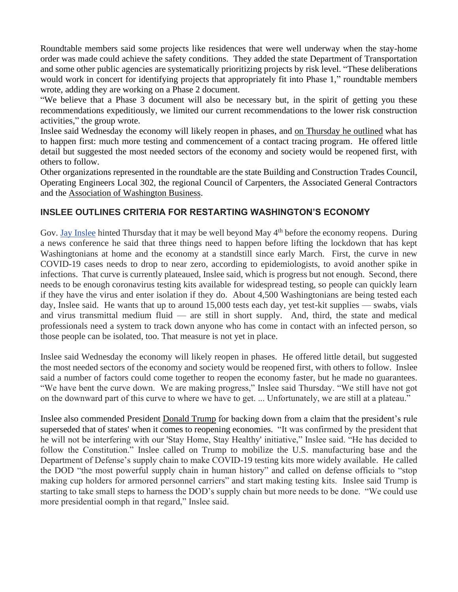Roundtable members said some projects like residences that were well underway when the stay-home order was made could achieve the safety conditions. They added the state Department of Transportation and some other public agencies are systematically prioritizing projects by risk level. "These deliberations would work in concert for identifying projects that appropriately fit into Phase 1," roundtable members wrote, adding they are working on a Phase 2 document.

"We believe that a Phase 3 document will also be necessary but, in the spirit of getting you these recommendations expeditiously, we limited our current recommendations to the lower risk construction activities," the group wrote.

Inslee said Wednesday the economy will likely reopen in phases, and [on Thursday he outlined](https://www.bizjournals.com/seattle/news/2020/04/16/inslee-outlines-criteria-that-will-reopen-economy.html?iana=hpmvp_sea_news_headline) what has to happen first: much more testing and commencement of a contact tracing program. He offered little detail but suggested the most needed sectors of the economy and society would be reopened first, with others to follow.

Other organizations represented in the roundtable are the state Building and Construction Trades Council, Operating Engineers Local 302, the regional Council of Carpenters, the Associated General Contractors and the [Association of Washington Business.](https://www.bizjournals.com/profile/company/org_ch_f54da06356d3b94f53990cc79e23483c)

### **INSLEE OUTLINES CRITERIA FOR RESTARTING WASHINGTON'S ECONOMY**

Gov. [Jay Inslee](https://www.bizjournals.com/seattle/search/results?q=Jay%20Inslee) hinted Thursday that it may be well beyond May 4<sup>th</sup> before the economy reopens. During a news conference he said that three things need to happen before lifting the lockdown that has kept Washingtonians at home and the economy at a standstill since early March. First, the curve in new COVID-19 cases needs to drop to near zero, according to epidemiologists, to avoid another spike in infections. That curve is currently plateaued, Inslee said, which is progress but not enough. Second, there needs to be enough coronavirus testing kits available for widespread testing, so people can quickly learn if they have the virus and enter isolation if they do. About 4,500 Washingtonians are being tested each day, Inslee said. He wants that up to around 15,000 tests each day, yet test-kit supplies — swabs, vials and virus transmittal medium fluid — are still in short supply. And, third, the state and medical professionals need a system to track down anyone who has come in contact with an infected person, so those people can be isolated, too. That measure is not yet in place.

Inslee said Wednesday the economy will likely reopen in phases. He offered little detail, but suggested the most needed sectors of the economy and society would be reopened first, with others to follow. Inslee said a number of factors could come together to reopen the economy faster, but he made no guarantees. "We have bent the curve down. We are making progress," Inslee said Thursday. "We still have not got on the downward part of this curve to where we have to get. ... Unfortunately, we are still at a plateau."

Inslee also commended President [Donald Trump](https://www.bizjournals.com/seattle/search/results?q=Donald%20Trump) for backing down from a claim that the president's rule superseded that of states' when it comes to reopening economies. "It was confirmed by the president that he will not be interfering with our 'Stay Home, Stay Healthy' initiative," Inslee said. "He has decided to follow the Constitution." Inslee called on Trump to mobilize the U.S. manufacturing base and the Department of Defense's supply chain to make COVID-19 testing kits more widely available. He called the DOD "the most powerful supply chain in human history" and called on defense officials to "stop making cup holders for armored personnel carriers" and start making testing kits. Inslee said Trump is starting to take small steps to harness the DOD's supply chain but more needs to be done. "We could use more presidential oomph in that regard," Inslee said.